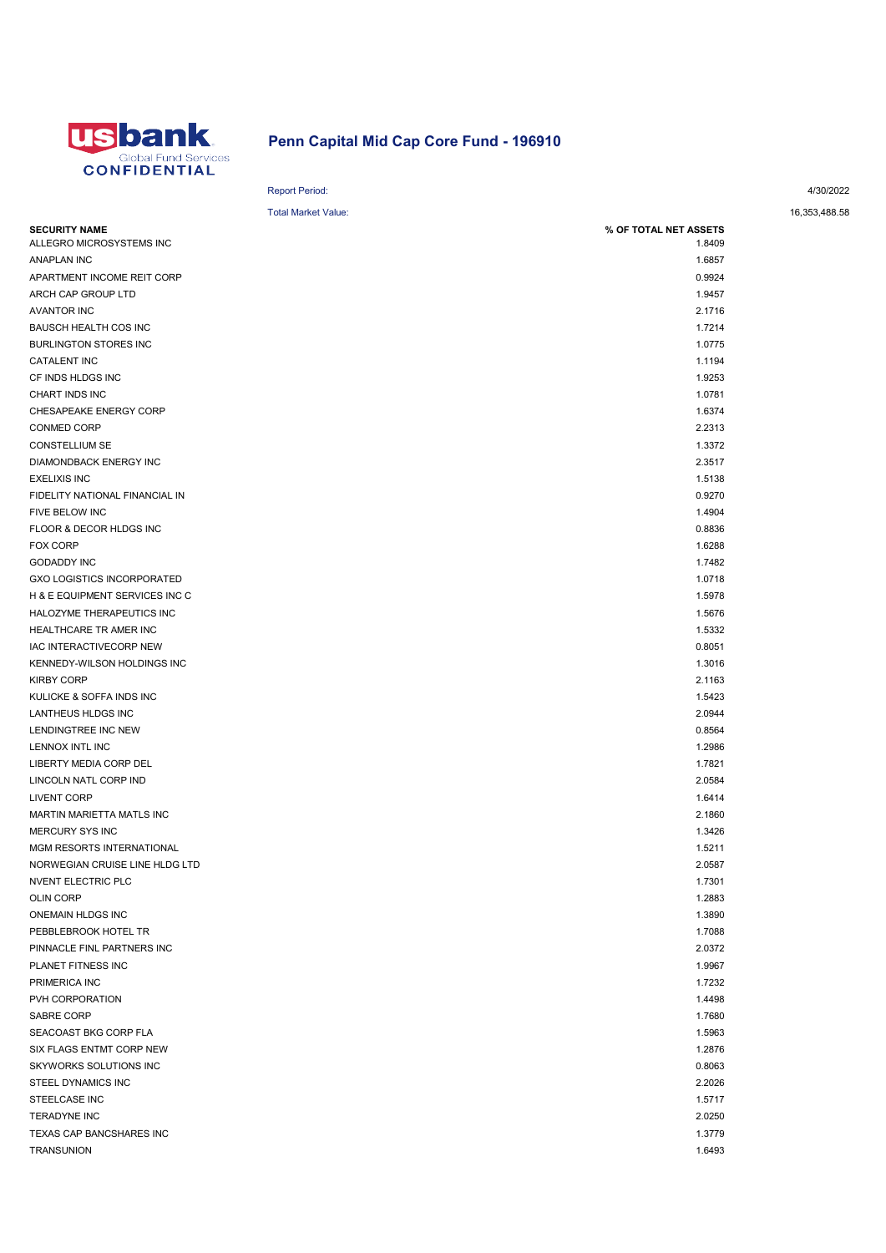

## Penn Capital Mid Cap Core Fund - 196910

## Report Period: 4/30/2022

## Total Market Value: 16,353,488.58

| <b>SECURITY NAME</b>              | % OF TOTAL NET ASSETS |
|-----------------------------------|-----------------------|
| ALLEGRO MICROSYSTEMS INC          | 1.8409                |
| <b>ANAPLAN INC</b>                | 1.6857                |
| APARTMENT INCOME REIT CORP        | 0.9924                |
| ARCH CAP GROUP LTD                | 1.9457                |
| <b>AVANTOR INC</b>                | 2.1716                |
| BAUSCH HEALTH COS INC             | 1.7214                |
| <b>BURLINGTON STORES INC</b>      | 1.0775                |
| CATALENT INC                      | 1.1194                |
| CF INDS HLDGS INC                 | 1.9253                |
| CHART INDS INC                    | 1.0781                |
| CHESAPEAKE ENERGY CORP            | 1.6374                |
| <b>CONMED CORP</b>                | 2.2313                |
| <b>CONSTELLIUM SE</b>             | 1.3372                |
| DIAMONDBACK ENERGY INC            | 2.3517                |
| <b>EXELIXIS INC</b>               | 1.5138                |
| FIDELITY NATIONAL FINANCIAL IN    | 0.9270                |
| FIVE BELOW INC                    | 1.4904                |
| FLOOR & DECOR HLDGS INC           | 0.8836                |
| FOX CORP                          | 1.6288                |
| <b>GODADDY INC</b>                | 1.7482                |
| <b>GXO LOGISTICS INCORPORATED</b> | 1.0718                |
| H & E EQUIPMENT SERVICES INC C    | 1.5978                |
| HALOZYME THERAPEUTICS INC         | 1.5676                |
| HEALTHCARE TR AMER INC            | 1.5332                |
| IAC INTERACTIVECORP NEW           | 0.8051                |
| KENNEDY-WILSON HOLDINGS INC       | 1.3016                |
| <b>KIRBY CORP</b>                 | 2.1163                |
| KULICKE & SOFFA INDS INC          | 1.5423                |
| LANTHEUS HLDGS INC                | 2.0944                |
| LENDINGTREE INC NEW               | 0.8564                |
| LENNOX INTL INC                   | 1.2986                |
| LIBERTY MEDIA CORP DEL            | 1.7821                |
| LINCOLN NATL CORP IND             | 2.0584                |
| <b>LIVENT CORP</b>                | 1.6414                |
| MARTIN MARIETTA MATLS INC         | 2.1860                |
| <b>MERCURY SYS INC</b>            | 1.3426                |
| MGM RESORTS INTERNATIONAL         | 1.5211                |
| NORWEGIAN CRUISE LINE HLDG LTD    | 2.0587                |
| <b>NVENT ELECTRIC PLC</b>         | 1.7301                |
| <b>OLIN CORP</b>                  | 1.2883                |
| ONEMAIN HLDGS INC                 | 1.3890                |
| PEBBLEBROOK HOTEL TR              | 1.7088                |
| PINNACLE FINL PARTNERS INC        | 2.0372                |
| PLANET FITNESS INC                | 1.9967                |
| PRIMERICA INC                     | 1.7232                |
| PVH CORPORATION                   | 1.4498                |
| SABRE CORP                        | 1.7680                |
| SEACOAST BKG CORP FLA             | 1.5963                |
| SIX FLAGS ENTMT CORP NEW          | 1.2876                |
| SKYWORKS SOLUTIONS INC            | 0.8063                |
| STEEL DYNAMICS INC                | 2.2026                |
| STEELCASE INC                     | 1.5717                |
| TERADYNE INC                      | 2.0250                |
| TEXAS CAP BANCSHARES INC          | 1.3779                |
| TRANSUNION                        | 1.6493                |
|                                   |                       |